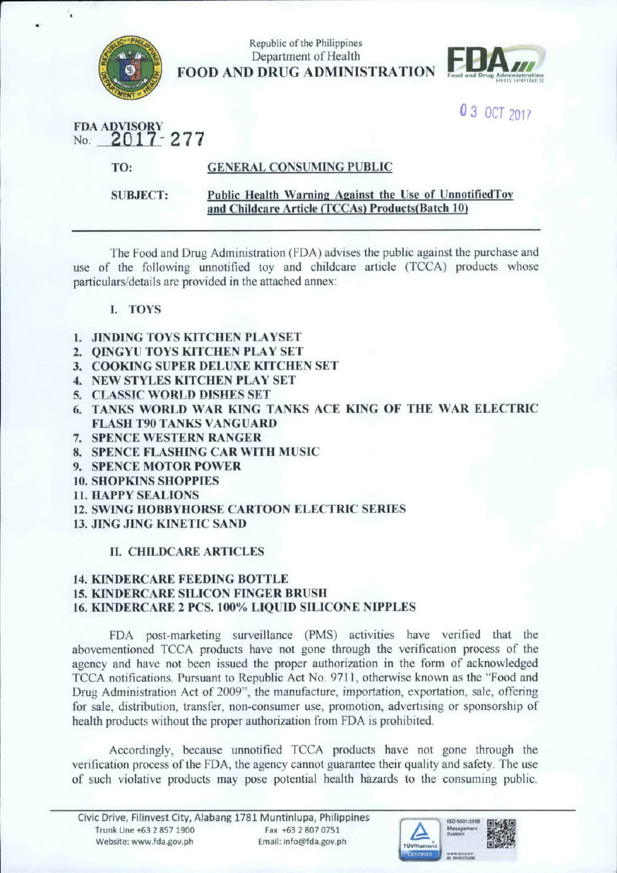

Republic of the Philippines Department of Health FOOD AND DRUG ADMINISTRATION



0 3 OCT 2017

FDA ADVISOR No. **2017 - 277** 

TO: GENERAL CONSUMING PUBLIC

SUBJECT:

#### Public Health Warning Against the Use of UnnotifiedTov and Childcare Article (TCCAs) Products(Batch 10)

The food and Drug Administration (FDA) advises the public against the purchase and use of the following unnotified toy and childcare article (TCCA) products whose particulars/details are provided in the attached annex:

### I. TOYS

- l. JlNDING TOYS KITCHEN PLA YSET
- 2. QINGYU TOYS KITCHEN PLAY SET
- 3. COOKING SUPER DELUXE KITCHEN SET
- 4. NEW STYLES KITCHEN PLAY SET
- 5. CLASSIC WORLD DISHES SET
- 6. TANKS WORLD WAR KING TANKS ACE KING OF THE WAR ELECTRIC FLASH T90 TANKS VANGUARD
- 7. SPENCE WESTERN RANGER
- 8. SPENCE FLASHING CAR WITH MUSIC
- 9. SPENCE MOTOR POWER
- 10. SHOPKINS SHOPPIES
- 11. HAPPY SEALIONS
- 12. SWING HOBBYHORSE CARTOON ELECTRIC SERIES
- 13. JING JING KINETIC SAND

## II. CHILDCARE ARTICLES

#### 14. KINDERCARE FEEDJNG BOTTLE 15. KlNDERCARE SILICON FINGER BRUSH 16. KINDERCARE 2 PCS.100% LIQUID SILICONE NIPPLES

FDA post-marketing surveillance (PMS) activities have verified that the abovementioned TCCA products have not gone through the verification process of the agency and have not been issued the proper authorization in the form of acknowledged TCCA notifications. Pursuant to Republic Act No. 9711, otherwise known as the "Food and Drug Administration Act of 2009", the manufacture, importation, exportation, sale, offering for sale, distribution, transfer, non-consumer use, promotion, advertising or sponsorship of health products without the proper authorization from FDA is prohibited.

Accordingly, because unnotified TCCA products have not gone through the verification process of the FDA, the agency cannot guarantee their quality and safety. The use of such violative products may pose potential health hazards to the conswning public.

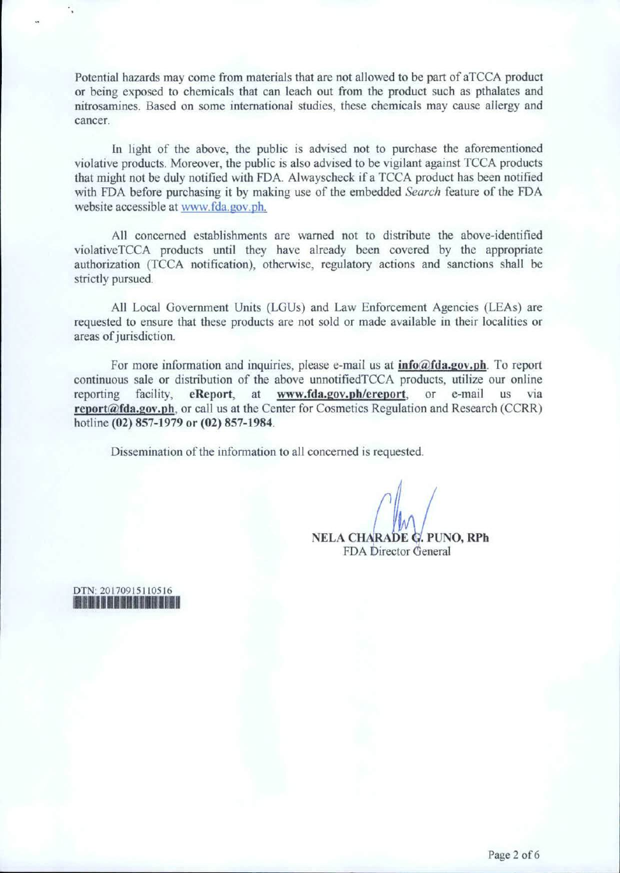Potential hazards may come from materials that are not allowed to be part of aTCCA product or being exposed to chemicals that can leach out from the product such as pthalates and nitrosamines. Based on some international studies, these chemicals may cause allergy and cancer.

In light of the above, the public is advised not to purchase the aforementioned violative products. Moreover, the public is also advised to be vigilant against TCCA products that might not be duly notified with FDA Alwayscheck if a TCCA product has been notified with FDA before purchasing it by making use of the embedded *Search* feature of the FDA website accessible at www.fda.gov ph.

All concerned establishments are warned not to distribute the above-identified violativeTCCA products until they have already been covered by the appropriate authorization (TCCA notification), otherwise, regulatory actions and sanctions shall be strictly pursued

All Local Government Units (LGUs) and Law Enforcement Agencies (LEAs) are requested to ensure that these products are not sold or made available in their localities or areas of jurisdiction.

For more information and inquiries, please e-mail us at  $info@fda.gov.ph$ . To report continuous sale or distribution of the above unnotifiedTCCA products, utilize our online reporting facility, eReport, at www.fda.gov.pb/ereport, or e-mail us via report@fda.gov.ph, or call us at the Center for Cosmetics Regulation and Research (CCRR) hotline (02) 857-1979 or (02) 857-1984.

Dissemination of the information to all concerned is requested.

NELA CHARADE G. PUNO, RPh FDA Director General

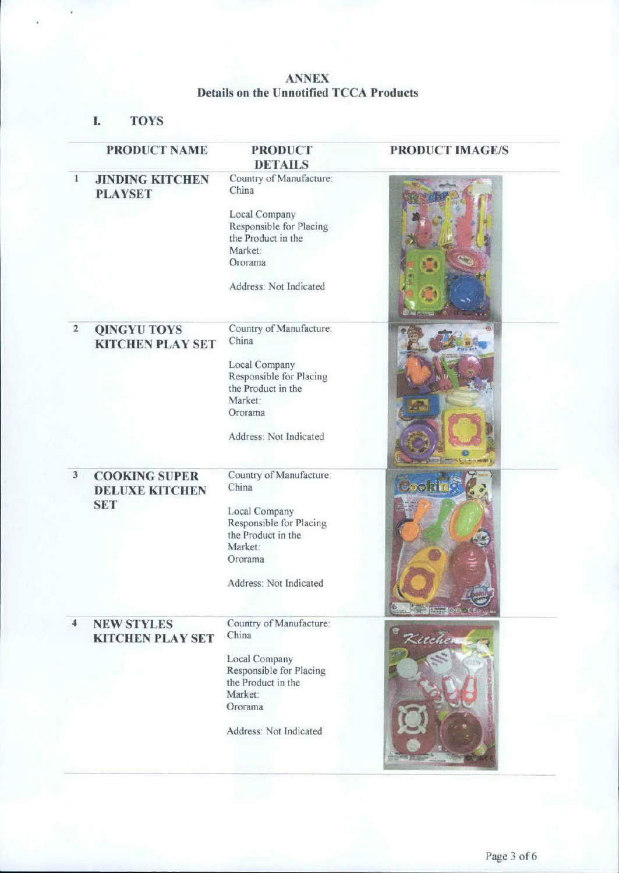## **ANNEX Details on the Unootified TCCA Products**

*1.* **TOYS** 

|                     | <b>PRODUCT NAME</b>                                         | <b>PRODUCT</b><br><b>DETAILS</b>                                                                                                                   | <b>PRODUCT IMAGE/S</b> |
|---------------------|-------------------------------------------------------------|----------------------------------------------------------------------------------------------------------------------------------------------------|------------------------|
| $\mathbf{1}$        | <b>JINDING KITCHEN</b><br><b>PLAYSET</b>                    | Country of Manufacture:<br>China<br>Local Company<br>Responsible for Placing<br>the Product in the<br>Market:<br>Ororama<br>Address: Not Indicated |                        |
|                     |                                                             |                                                                                                                                                    |                        |
| $\mathbf 2$         | <b>QINGYU TOYS</b><br><b>KITCHEN PLAY SET</b>               | Country of Manufacture:<br>China<br>Local Company<br>Responsible for Placing<br>the Product in the<br>Market:<br>Ororama<br>Address: Not Indicated | <b>COLLEGE COMPANY</b> |
| 3                   | <b>COOKING SUPER</b><br><b>DELUXE KITCHEN</b><br><b>SET</b> | Country of Manufacture:<br>China<br>Local Company<br>Responsible for Placing<br>the Product in the<br>Market:<br>Ororama<br>Address: Not Indicated | ज्ञ सी त <b>े</b>      |
| $\overline{\bf{4}}$ | <b>NEW STYLES</b><br><b>KITCHEN PLAY SET</b>                | Country of Manufacture:<br>China<br>Local Company<br>Responsible for Placing<br>the Product in the<br>Market:<br>Ororama                           | Kitcher                |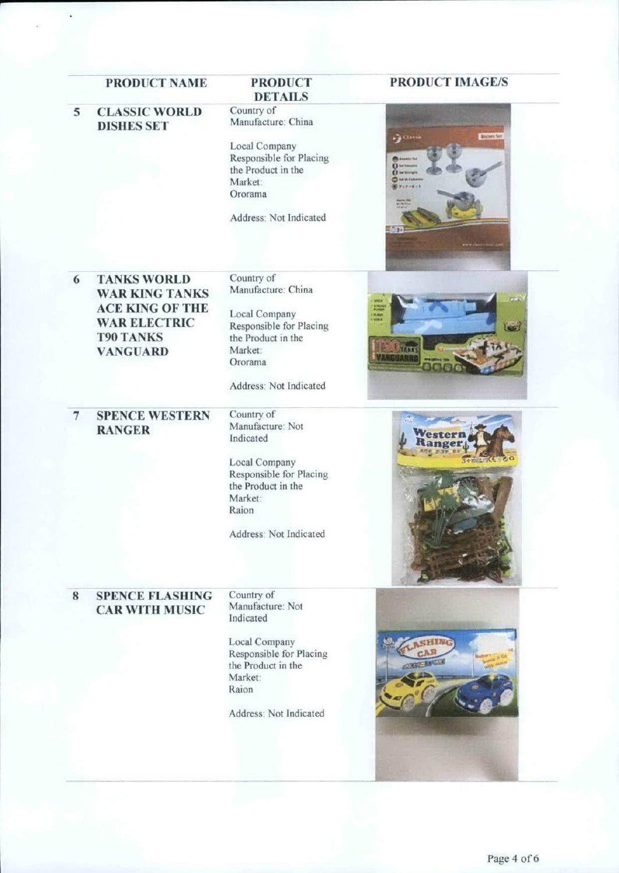| <b>PRODUCT NAME</b>                     | <b>PRODUCT</b><br><b>DETAILS</b> | <b>PRODUCT IMAGE/S</b>          |
|-----------------------------------------|----------------------------------|---------------------------------|
| <b>CLASSIC WORLD</b><br>5               | Country of<br>Manufacture: China |                                 |
| <b>DISHES SET</b>                       |                                  |                                 |
|                                         | Local Company                    | <b>DOM</b><br><b>Enches</b> Set |
|                                         | Responsible for Placing          |                                 |
|                                         | the Product in the               |                                 |
|                                         | Market:                          |                                 |
|                                         | Ororama                          |                                 |
|                                         |                                  |                                 |
|                                         | Address: Not Indicated           |                                 |
|                                         |                                  | ு                               |
|                                         |                                  |                                 |
|                                         |                                  |                                 |
| <b>TANKS WORLD</b><br>6                 | Country of                       |                                 |
| <b>WAR KING TANKS</b>                   | Manufacture: China               |                                 |
| <b>ACE KING OF THE</b>                  |                                  |                                 |
| <b>WAR ELECTRIC</b>                     | Local Company                    | <b>PLAUS</b>                    |
|                                         | Responsible for Placing          |                                 |
| <b>T90 TANKS</b>                        | the Product in the               |                                 |
| <b>VANGUARD</b>                         | Market:                          | <b>LIT</b><br><b>ISUARR</b>     |
|                                         | Ororama                          |                                 |
|                                         | Address: Not Indicated           |                                 |
| $\overline{7}$<br><b>SPENCE WESTERN</b> | Country of                       |                                 |
| <b>RANGER</b>                           | Manufacture: Not                 |                                 |
|                                         | Indicated                        |                                 |
|                                         | Local Company                    |                                 |
|                                         | Responsible for Placing          |                                 |
|                                         | the Product in the               |                                 |
|                                         | Market:                          |                                 |
|                                         | Raion                            |                                 |
|                                         |                                  |                                 |
|                                         | Address: Not Indicated           |                                 |
|                                         |                                  |                                 |
|                                         |                                  |                                 |
| <b>SPENCE FLASHING</b><br>8             | Country of                       |                                 |
| <b>CAR WITH MUSIC</b>                   | Manufacture: Not                 |                                 |
|                                         | Indicated                        |                                 |
|                                         |                                  |                                 |
|                                         | Local Company                    |                                 |
|                                         | Responsible for Placing          |                                 |
|                                         | the Product in the<br>Market:    |                                 |
|                                         | Raion                            |                                 |
|                                         |                                  |                                 |
|                                         | Address: Not Indicated           |                                 |
|                                         |                                  |                                 |
|                                         |                                  |                                 |
|                                         |                                  |                                 |
|                                         |                                  |                                 |
|                                         |                                  |                                 |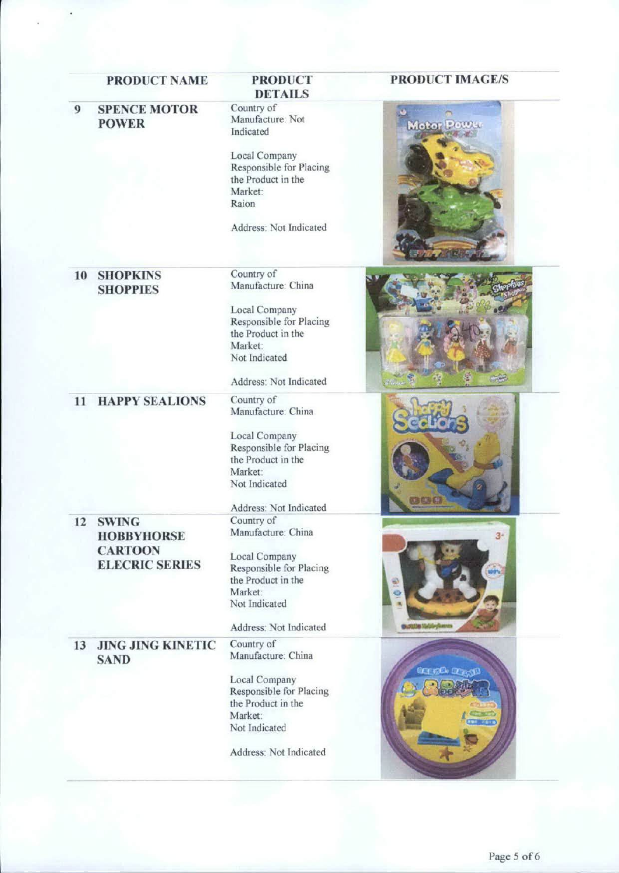|    | PRODUCT NAME                                        | <b>PRODUCT</b><br><b>DETAILS</b>                                                           | <b>PRODUCT IMAGE/S</b> |
|----|-----------------------------------------------------|--------------------------------------------------------------------------------------------|------------------------|
| 9  | <b>SPENCE MOTOR</b><br><b>POWER</b>                 | Country of<br>Manufacture: Not<br>Indicated                                                | Motor Power            |
|    |                                                     | Local Company<br>Responsible for Placing<br>the Product in the<br>Market:<br>Raion         |                        |
|    |                                                     | Address: Not Indicated                                                                     |                        |
| 10 | <b>SHOPKINS</b><br><b>SHOPPIES</b>                  | Country of<br>Manufacture: China                                                           |                        |
|    |                                                     | Local Company<br>Responsible for Placing<br>the Product in the<br>Market:<br>Not Indicated |                        |
|    |                                                     | Address: Not Indicated                                                                     |                        |
| 11 | <b>HAPPY SEALIONS</b>                               | Country of<br>Manufacture: China                                                           |                        |
|    |                                                     | Local Company<br>Responsible for Placing<br>the Product in the<br>Market:<br>Not Indicated |                        |
|    |                                                     | Address: Not Indicated                                                                     | <b>BOG</b>             |
| 12 | <b>SWING</b><br><b>HOBBYHORSE</b><br><b>CARTOON</b> | Country of<br>Manufacture: China                                                           | 31                     |
|    | <b>ELECRIC SERIES</b>                               | Local Company<br>Responsible for Placing<br>the Product in the<br>Market:<br>Not Indicated | Đ<br>e                 |
|    |                                                     | Address: Not Indicated                                                                     | <b>BURLER WASHING</b>  |
| 13 | <b>JING JING KINETIC</b><br><b>SAND</b>             | Country of<br>Manufacture: China                                                           |                        |
|    |                                                     | Local Company<br>Responsible for Placing<br>the Product in the<br>Market:<br>Not Indicated | GEECH DOWN             |
|    |                                                     | Address: Not Indicated                                                                     |                        |